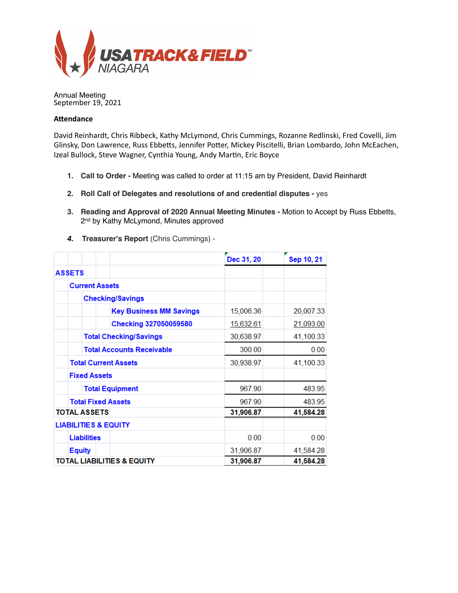

Annual Meeting September 19, 2021

# **Attendance**

David Reinhardt, Chris Ribbeck, Kathy McLymond, Chris Cummings, Rozanne Redlinski, Fred Covelli, Jim Glinsky, Don Lawrence, Russ Ebbetts, Jennifer Potter, Mickey Piscitelli, Brian Lombardo, John McEachen, Izeal Bullock, Steve Wagner, Cynthia Young, Andy Martin, Eric Boyce

- **1. Call to Order** Meeting was called to order at 11:15 am by President, David Reinhardt
- **2. Roll Call of Delegates and resolutions of and credential disputes** yes
- **3. Reading and Approval of 2020 Annual Meeting Minutes** Motion to Accept by Russ Ebbetts, 2<sup>nd</sup> by Kathy McLymond, Minutes approved
- *4.* **Treasurer's Report** (Chris Cummings) -

|                                       |                                 |                                  | Dec 31, 20 | Sep 10, 21 |
|---------------------------------------|---------------------------------|----------------------------------|------------|------------|
|                                       | <b>ASSETS</b>                   |                                  |            |            |
|                                       | <b>Current Assets</b>           |                                  |            |            |
|                                       | <b>Checking/Savings</b>         |                                  |            |            |
|                                       |                                 | <b>Key Business MM Savings</b>   | 15,006.36  | 20,007.33  |
|                                       |                                 | Checking 327050059580            | 15,632.61  | 21,093.00  |
|                                       | <b>Total Checking/Savings</b>   |                                  | 30,638.97  | 41,100.33  |
|                                       |                                 | <b>Total Accounts Receivable</b> | 300.00     | 0.00       |
|                                       | <b>Total Current Assets</b>     |                                  | 30,938.97  | 41,100.33  |
|                                       | <b>Fixed Assets</b>             |                                  |            |            |
|                                       | <b>Total Equipment</b>          |                                  | 967.90     | 483.95     |
|                                       | <b>Total Fixed Assets</b>       |                                  | 967.90     | 483.95     |
| <b>TOTAL ASSETS</b>                   |                                 | 31,906.87                        | 41,584.28  |            |
|                                       | <b>LIABILITIES &amp; EQUITY</b> |                                  |            |            |
|                                       | <b>Liabilities</b>              |                                  | 0.00       | 0.00       |
|                                       | <b>Equity</b>                   |                                  | 31,906.87  | 41,584.28  |
| <b>TOTAL LIABILITIES &amp; EQUITY</b> |                                 |                                  | 31,906.87  | 41,584.28  |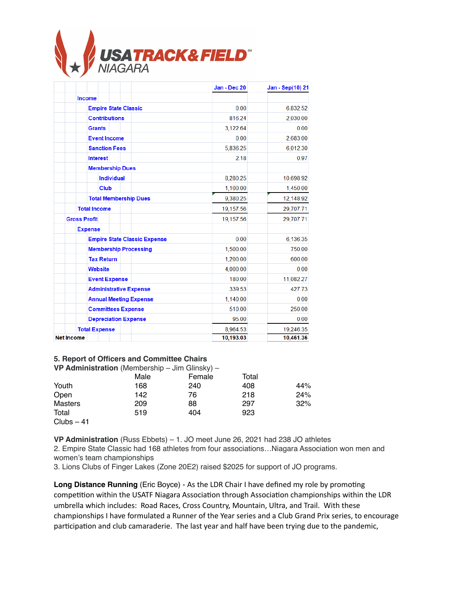

|                                     | Jan - Dec 20 | Jan - Sep(10) 21                   |
|-------------------------------------|--------------|------------------------------------|
| <b>Income</b>                       |              |                                    |
| <b>Empire State Classic</b>         | 0.00         | 6,832.52                           |
| <b>Contributions</b>                | 816.24       | 2,030.00                           |
| <b>Grants</b>                       | 3,122.64     | 0.00                               |
| <b>Event Income</b>                 | 0.00         | 2,683.00                           |
| <b>Sanction Fees</b>                | 5,836.25     | 6,012.30                           |
| <b>Interest</b>                     | 2.18         | 0.97                               |
| <b>Membership Dues</b>              |              |                                    |
| <b>Individual</b>                   | 8,280.25     | 10,698.92                          |
| <b>Club</b>                         | 1,100.00     | 1,450.00                           |
| <b>Total Membership Dues</b>        | 9,380.25     | 12,148.92                          |
| <b>Total Income</b>                 | 19,157.56    | 29,707.71<br>29,707.71<br>6,136.35 |
| <b>Gross Profit</b>                 | 19,157.56    |                                    |
| <b>Expense</b>                      |              |                                    |
| <b>Empire State Classic Expense</b> | 0.00         |                                    |
| <b>Membership Processing</b>        | 1,500.00     | 750.00                             |
| <b>Tax Return</b>                   | 1,200.00     | 600.00                             |
| <b>Website</b>                      | 4,000.00     | 0.00                               |
| <b>Event Expense</b>                | 180.00       | 11,082.27                          |
| <b>Administrative Expense</b>       | 339.53       | 427.73                             |
| <b>Annual Meeting Expense</b>       | 1,140.00     | 0.00                               |
| <b>Committees Expense</b>           | 510.00       | 250.00                             |
| <b>Depreciation Expense</b>         | 95.00        | 0.00                               |
| <b>Total Expense</b>                | 8,964.53     | 19,246.35                          |
| <b>Net Income</b>                   | 10,193.03    | 10.461.36                          |

#### **5. Report of Officers and Committee Chairs**

|                | VP Administration (Membership - Jim Glinsky) - |        |       |     |
|----------------|------------------------------------------------|--------|-------|-----|
|                | Male                                           | Female | Total |     |
| Youth          | 168                                            | 240    | 408   | 44% |
| Open           | 142                                            | 76     | 218   | 24% |
| <b>Masters</b> | 209                                            | 88     | 297   | 32% |
| Total          | 519                                            | 404    | 923   |     |
| $Clubs - 41$   |                                                |        |       |     |

**VP Administration** (Russ Ebbets) – 1. JO meet June 26, 2021 had 238 JO athletes

2. Empire State Classic had 168 athletes from four associations…Niagara Association won men and women's team championships

3. Lions Clubs of Finger Lakes (Zone 20E2) raised \$2025 for support of JO programs.

Long Distance Running (Eric Boyce) - As the LDR Chair I have defined my role by promoting competition within the USATF Niagara Association through Association championships within the LDR umbrella which includes: Road Races, Cross Country, Mountain, Ultra, and Trail. With these championships I have formulated a Runner of the Year series and a Club Grand Prix series, to encourage participation and club camaraderie. The last year and half have been trying due to the pandemic,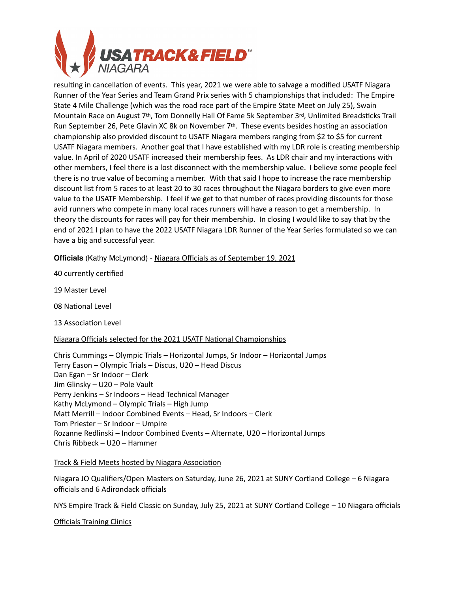

resulting in cancellation of events. This year, 2021 we were able to salvage a modified USATF Niagara Runner of the Year Series and Team Grand Prix series with 5 championships that included: The Empire State 4 Mile Challenge (which was the road race part of the Empire State Meet on July 25), Swain Mountain Race on August 7th, Tom Donnelly Hall Of Fame 5k September 3rd, Unlimited Breadsticks Trail Run September 26, Pete Glavin XC 8k on November  $7<sup>th</sup>$ . These events besides hosting an association championship also provided discount to USATF Niagara members ranging from \$2 to \$5 for current USATF Niagara members. Another goal that I have established with my LDR role is creating membership value. In April of 2020 USATF increased their membership fees. As LDR chair and my interactions with other members, I feel there is a lost disconnect with the membership value. I believe some people feel there is no true value of becoming a member. With that said I hope to increase the race membership discount list from 5 races to at least 20 to 30 races throughout the Niagara borders to give even more value to the USATF Membership. I feel if we get to that number of races providing discounts for those avid runners who compete in many local races runners will have a reason to get a membership. In theory the discounts for races will pay for their membership. In closing I would like to say that by the end of 2021 I plan to have the 2022 USATF Niagara LDR Runner of the Year Series formulated so we can have a big and successful year.

**Officials** (Kathy McLymond) - Niagara Officials as of September 19, 2021

40 currently certified

19 Master Level

08 National Level

13 Association Level

#### Niagara Officials selected for the 2021 USATF National Championships

Chris Cummings – Olympic Trials – Horizontal Jumps, Sr Indoor – Horizontal Jumps Terry Eason – Olympic Trials – Discus, U20 – Head Discus Dan Egan – Sr Indoor – Clerk Jim Glinsky – U20 – Pole Vault Perry Jenkins – Sr Indoors – Head Technical Manager Kathy McLymond – Olympic Trials – High Jump Matt Merrill – Indoor Combined Events – Head, Sr Indoors – Clerk Tom Priester – Sr Indoor – Umpire Rozanne Redlinski – Indoor Combined Events – Alternate, U20 – Horizontal Jumps Chris Ribbeck – U20 – Hammer

#### Track & Field Meets hosted by Niagara Association

Niagara JO Qualifiers/Open Masters on Saturday, June 26, 2021 at SUNY Cortland College – 6 Niagara officials and 6 Adirondack officials

NYS Empire Track & Field Classic on Sunday, July 25, 2021 at SUNY Cortland College – 10 Niagara officials

Officials Training Clinics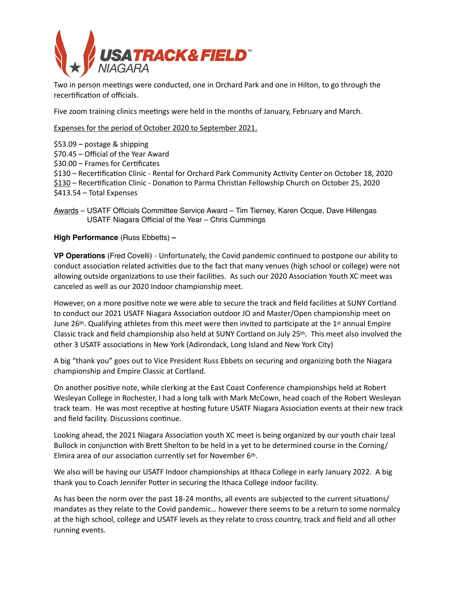

Two in person meetings were conducted, one in Orchard Park and one in Hilton, to go through the recertification of officials.

Five zoom training clinics meetings were held in the months of January, February and March.

Expenses for the period of October 2020 to September 2021.

\$53.09 – postage & shipping \$70.45 – Official of the Year Award  $$30.00 -$  Frames for Certificates \$130 – Recertification Clinic - Rental for Orchard Park Community Activity Center on October 18, 2020 \$130 – Recertification Clinic - Donation to Parma Christian Fellowship Church on October 25, 2020 \$413.54 – Total Expenses

Awards – USATF Officials Committee Service Award – Tim Tierney, Karen Ocque, Dave Hillengas USATF Niagara Official of the Year – Chris Cummings

**High Performance** (Russ Ebbetts) **–** 

**VP Operations** (Fred Covelli) - Unfortunately, the Covid pandemic continued to postpone our ability to conduct association related activities due to the fact that many venues (high school or college) were not allowing outside organizations to use their facilities. As such our 2020 Association Youth XC meet was canceled as well as our 2020 Indoor championship meet.

However, on a more positive note we were able to secure the track and field facilities at SUNY Cortland to conduct our 2021 USATF Niagara Association outdoor JO and Master/Open championship meet on June 26<sup>th</sup>. Qualifying athletes from this meet were then invited to participate at the 1<sup>st</sup> annual Empire Classic track and field championship also held at SUNY Cortland on July 25th. This meet also involved the other 3 USATF associations in New York (Adirondack, Long Island and New York City)

A big "thank you" goes out to Vice President Russ Ebbets on securing and organizing both the Niagara championship and Empire Classic at Cortland.

On another positive note, while clerking at the East Coast Conference championships held at Robert Wesleyan College in Rochester, I had a long talk with Mark McCown, head coach of the Robert Wesleyan track team. He was most receptive at hosting future USATF Niagara Association events at their new track and field facility. Discussions continue.

Looking ahead, the 2021 Niagara Association youth XC meet is being organized by our youth chair Izeal Bullock in conjunction with Brett Shelton to be held in a yet to be determined course in the Corning/ Elmira area of our association currently set for November 6th.

We also will be having our USATF Indoor championships at Ithaca College in early January 2022. A big thank you to Coach Jennifer Potter in securing the Ithaca College indoor facility.

As has been the norm over the past 18-24 months, all events are subjected to the current situations/ mandates as they relate to the Covid pandemic… however there seems to be a return to some normalcy at the high school, college and USATF levels as they relate to cross country, track and field and all other running events.